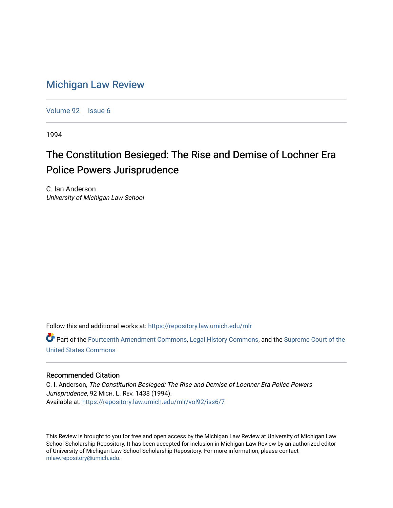## [Michigan Law Review](https://repository.law.umich.edu/mlr)

[Volume 92](https://repository.law.umich.edu/mlr/vol92) | [Issue 6](https://repository.law.umich.edu/mlr/vol92/iss6)

1994

## The Constitution Besieged: The Rise and Demise of Lochner Era Police Powers Jurisprudence

C. Ian Anderson University of Michigan Law School

Follow this and additional works at: [https://repository.law.umich.edu/mlr](https://repository.law.umich.edu/mlr?utm_source=repository.law.umich.edu%2Fmlr%2Fvol92%2Fiss6%2F7&utm_medium=PDF&utm_campaign=PDFCoverPages) 

Part of the [Fourteenth Amendment Commons](http://network.bepress.com/hgg/discipline/1116?utm_source=repository.law.umich.edu%2Fmlr%2Fvol92%2Fiss6%2F7&utm_medium=PDF&utm_campaign=PDFCoverPages), [Legal History Commons,](http://network.bepress.com/hgg/discipline/904?utm_source=repository.law.umich.edu%2Fmlr%2Fvol92%2Fiss6%2F7&utm_medium=PDF&utm_campaign=PDFCoverPages) and the [Supreme Court of the](http://network.bepress.com/hgg/discipline/1350?utm_source=repository.law.umich.edu%2Fmlr%2Fvol92%2Fiss6%2F7&utm_medium=PDF&utm_campaign=PDFCoverPages)  [United States Commons](http://network.bepress.com/hgg/discipline/1350?utm_source=repository.law.umich.edu%2Fmlr%2Fvol92%2Fiss6%2F7&utm_medium=PDF&utm_campaign=PDFCoverPages) 

## Recommended Citation

C. I. Anderson, The Constitution Besieged: The Rise and Demise of Lochner Era Police Powers Jurisprudence, 92 MICH. L. REV. 1438 (1994). Available at: [https://repository.law.umich.edu/mlr/vol92/iss6/7](https://repository.law.umich.edu/mlr/vol92/iss6/7?utm_source=repository.law.umich.edu%2Fmlr%2Fvol92%2Fiss6%2F7&utm_medium=PDF&utm_campaign=PDFCoverPages)

This Review is brought to you for free and open access by the Michigan Law Review at University of Michigan Law School Scholarship Repository. It has been accepted for inclusion in Michigan Law Review by an authorized editor of University of Michigan Law School Scholarship Repository. For more information, please contact [mlaw.repository@umich.edu.](mailto:mlaw.repository@umich.edu)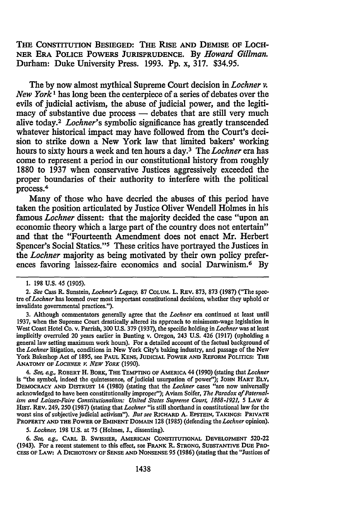THE CONSTITUTION BESIEGED: THE RISE AND DEMISE OF LocH-NER ERA POLICE POWERS JURISPRUDENCE. By *Howard Gillman.*  Durham: Duke University Press. 1993. Pp. x, 317. \$34.95.

The by now almost mythical Supreme Court decision in *Lochner v. New York* 1 has long been the centerpiece of a series of debates over the evils of judicial activism, the abuse of judicial power, and the legiti $m$ acy of substantive due process  $-$  debates that are still very much alive today.2 *Lochner's* symbolic significance has greatly transcended whatever historical impact may have followed from the Court's decision to strike down a New York law that limited bakers' working hours to sixty hours a week and ten hours a day.3 The *Lochner* era has come to represent a period in our constitutional history from roughly 1880 to 1937 when conservative Justices aggressively exceeded the proper boundaries of their authority to interfere with the political process.4

Many of those who have decried the abuses of this period have taken the position articulated by Justice Oliver Wendell Holmes in his famous *Lochner* dissent: that the majority decided the case "upon an economic theory which a large part of the country does not entertain" and that the "Fourteenth Amendment does not enact Mr. Herbert Spencer's Social Statics."5 These critics have portrayed the Justices in the *Lochner* majority as being motivated by their own policy preferences favoring laissez-faire economics and social Darwinism.<sup>6</sup> By

3. Although commentators generally agree that the *Lachner* era continued at least until 1937, when the Supreme Court drastically altered its approach to minimum-wage legislation in West Coast Hotel Co. v. Parrish, 300 U.S. 379 (1937), the specific holding in *Lachner* was at least implicitly overruled 20 years earlier in Bunting v. Oregon, 243 U.S. 426 (1917) (upholding a general law setting maximum work hours). For a detailed account of the factual background of the *Lachner* litigation, conditions in New York City's baking industry, and passage of the New York Bakeshop Act of 1895, see PAUL KENS, JUDICIAL POWER AND REFORM POLITICS: THE ANATOMY OF *LOCHNER Y. NEW YORK* (1990).

4. *See, e.g., ROBERT H. BORK, THE TEMPTING OF AMERICA 44 (1990) (stating that Lochner* is "the symbol, indeed the quintessence, of judicial usurpation of power"); JOHN HART ELY, DEMOCRACY AND DISTRUST 14 (1980) (stating that the *Lachner* cases "are now universally acknowledged to have been constitutionally improper''); Aviam Soifer, *The Paradox of Paternalism and Laissez-Faire Constitutionalism: United States Supreme Court, 1888-1921, 5 LAW &* HISf. REv. 249, 250 (1987) (stating that *Lachner* "is still shorthand in constitutional law for the worst sins of subjective judicial activism"). *But see* RICHARD A. EPSTEIN, TAKINGS: PRIVATE PROPERTY AND THE POWER OF EMINENT DOMAIN 128 (1985) (defending the *Lachner* opinion).

5. *Lachner,* 198 U.S. at 75 (Holmes, J., dissenting).

6. *See, e.g.,* CARL B. SWISHER, AMERICAN CoNSTITUTIONAL DEVELOPMENT 520-22 (1943). For a recent statement to this effect, see FRANK R. STRONG, SUBSTANTIVE DUE PRO-CESS OF LAW: A DICHOTOMY OF SENSE AND NONSENSE 95 (1986) (stating that the "Justices of

<sup>1. 198</sup> U.S. 45 (1905).

<sup>2.</sup> *See* Cass R. Sunstein, *Lochner's Legacy, 81* CoLUM. L. REV. 873, 873 (1987) ("The spec· tre of *Lachner* has loomed over most important constitutional decisions, whether they uphold or invalidate governmental practices.").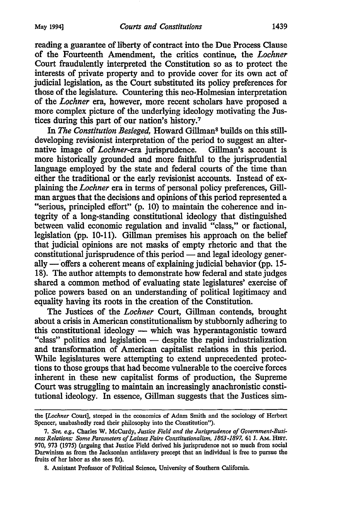reading a guarantee of liberty of contract into the Due Process Clause of the Fourteenth Amendment, the critics continue, the *Lochner*  Court fraudulently interpreted the Constitution so as to protect the interests of private property and to provide cover for its own act of judicial legislation, as the Court substituted its policy preferences for those of the legislature. Countering this neo-Holmesian interpretation of the *Lochner* era, however, more recent scholars have proposed a more complex picture of the underlying ideology motivating the Justices during this part of our nation's history.7

In *The Constitution Besieged,* Howard Gillman8 builds on this stilldeveloping revisionist interpretation of the period to suggest an alternative image of *Lochner-era* jurisprudence. Gillman's account is more historically grounded and more faithful to the jurisprudential language employed by the state and federal courts of the time than either the traditional or the early revisionist accounts. Instead of explaining the *Lochner* era in terms of personal policy preferences, Gillman argues that the decisions and opinions of this period represented a "serious, principled effort" (p. 10) to maintain the coherence and integrity of a long-standing constitutional ideology that distinguished between valid economic regulation and invalid "class," or factional, legislation (pp. 10-11). Gillman premises his approach on the belief that judicial opinions are not masks of empty rhetoric and that the constitutional jurisprudence of this period — and legal ideology generally — offers a coherent means of explaining judicial behavior (pp. 15-18). The author attempts to demonstrate how federal and state judges shared a common method of evaluating state legislatures' exercise of police powers based on an understanding of political legitimacy and equality having its roots in the creation of the Constitution.

The Justices of the *Lochner* Court, Gillman contends, brought about a crisis in American constitutionalism by stubbornly adhering to this constitutional ideology — which was hyperantagonistic toward "class" politics and legislation — despite the rapid industrialization and transformation of American capitalist relations in this period. While legislatures were attempting to extend unprecedented protections to those groups that had become vulnerable to the coercive forces inherent in these new capitalist forms of production, the Supreme Court was struggling to maintain an increasingly anachronistic constitutional ideology. In essence, Gillman suggests that the Justices sim-

the *[Lochner* Court], steeped in the economics of Adam Smith and the sociology of Herbert Spencer, unabashedly read their philosophy into the Constitution").

<sup>7.</sup> *See, e.g.,* Charles W. McCurdy, *Justice Field and the Jurisprudence of Government-Business Relations: Some Parameters of Laissez Faire Constitutionalism, 1863-1897,* 61 J. AM. HIST. 970, 973 (1975) (arguing that Justice Field derived his jurisprudence not so much from social Darwinism as from the Jacksonian antislavery precept that an individual is free to pursue the fruits of her labor as she sees fit).

<sup>8.</sup> Assistant Professor of Political Science, University of Southern California.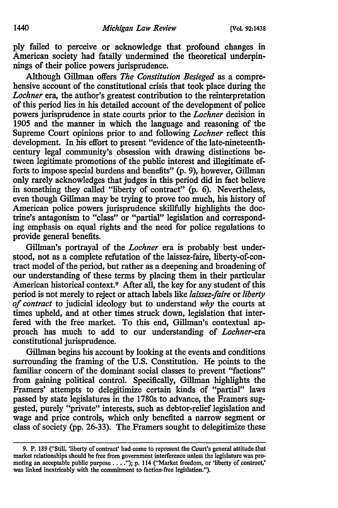ply failed to perceive or acknowledge that profound changes in American society had fatally undermined the theoretical underpinnings of their police powers jurisprudence.

Although Gillman offers *The Constitution Besieged* as a comprehensive account of the constitutional crisis that took place during the *Lochner* era, the author's greatest contribution to the reinterpretation of this period lies in his detailed account of the development of police powers jurisprudence in state courts prior to the *Lochner* decision in 1905 and the manner in which the language and reasoning of the Supreme Court opinions prior to and following *Lochner* reflect this development. In his effort to present "evidence of the late-nineteenthcentury legal community's obsession with drawing distinctions between legitimate promotions of the public interest and illegitimate efforts to impose special burdens and benefits" (p. 9), however, Gillman only rarely acknowledges that judges in this period did in fact believe in something they called "liberty of contract" (p. 6). Nevertheless, even though Gillman may be trying to prove too much, his history of American police powers jurisprudence skillfully highlights the doctrine's antagonism to "class" or "partial" legislation and corresponding emphasis on equal rights and the need for police regulations to provide general benefits.

Gillman's portrayal of the *Lochner* era is probably best understood, not as a complete refutation of the laissez-faire, liberty-of-contract model of the period, but rather as a deepening and broadening of our understanding of these terms by placing them in their particular American historical context.<sup>9</sup> After all, the key for any student of this period is not merely to reject or attach labels like *laissez-faire* or *liberty of contract* to judicial ideology but to understand *why* the courts at times upheld, and at other times struck down, legislation that interfered with the free market. To this end, Gillman's contextual approach has much to add to our understanding of *Lochner-era*  constitutional jurisprudence.

Gillman begins his account by looking at the events and conditions surrounding the framing of the U.S. Constitution. He points to the familiar concern of the dominant social classes to prevent "factions" from gaining political control. Specifically, Gillman highlights the Framers' attempts to delegitimize certain kinds of "partial" laws passed by state legislatures in the 1780s to advance, the Framers suggested, purely "private" interests, such as debtor-relief legislation and wage and price controls, which only benefited a narrow segment or class of society (pp. 26-33). The Framers sought to delegitimize these

<sup>9.</sup> P. 189 ("Still, 'liberty of contract' had come to represent the Court's general attitude that market relationships should be free from government interference unless the legislature was promoting an acceptable public purpose . . . ."); p. 114 ("Market freedom, or 'liberty of contract,' was linked inextricably with the commitment to faction-free legislation.").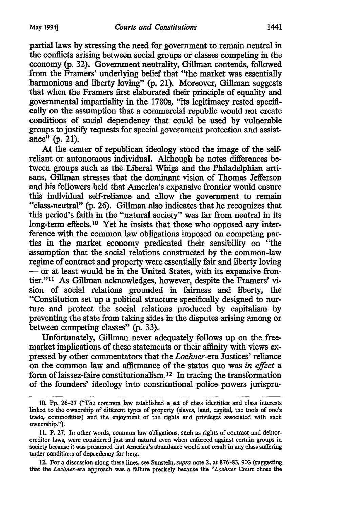partial laws by stressing the need for government to remain neutral in the conflicts arising between social groups or classes competing in the economy (p. 32). Government neutrality, Gillman contends, followed from the Framers' underlying belief that "the market was essentially harmonious and liberty loving" (p. 21). Moreover, Gillman suggests that when the Framers first elaborated their principle of equality and governmental impartiality in the 1780s, "its legitimacy rested specifically on the assumption that a commercial republic would not create conditions of social dependency that could be used by vulnerable groups to justify requests for special government protection and assistance" $(p. 21)$ .

At the center of republican ideology stood the image of the selfreliant or autonomous individual. Although he notes differences between groups such as the Liberal Whigs and the Philadelphian artisans, Gillman stresses that the dominant vision of Thomas Jefferson and his followers held that America's expansive frontier would ensure this individual self-reliance and allow the government to remain "class-neutral" (p. 26). Gillman also indicates that he recognizes that this period's faith in the "natural society" was far from neutral in its long-term effects.<sup>10</sup> Yet he insists that those who opposed any interference with the common law obligations imposed on competing parties in the market economy predicated their sensibility on "the assumption that the social relations constructed by the common-law regime of contract and property were essentially fair and liberty loving - or at least would be in the United States, with its expansive frontier."11 As Gillman acknowledges, however, despite the Framers' vision of social relations grounded in fairness and liberty, the "Constitution set up a political structure specifically designed to nurture and protect the social relations produced by capitalism by preventing the state from taking sides in the disputes arising among or between competing classes" (p. 33).

Unfortunately, Gillman never adequately follows up on the freemarket implications of these statements or their affinity with views expressed by other commentators that the *Lochner-era* Justices' reliance on the common law and affirmance of the status quo was *in effect* a form of laissez-faire constitutionalism. 12 In tracing the transformation of the founders' ideology into constitutional police powers jurispru-

12. For a discussion along these lines, see Sunstein, *supra* note 2, at 876-83, 903 (suggesting that the *Lochner-era* approach was a failure precisely because the *"Lochner* Court chose the

<sup>10.</sup> Pp. 26-27 ("The common law established a set of class identities and class interests linked to the ownership of different types of property (slaves, land, capital, the tools of one's trade, commodities) and the enjoyment of the rights and privileges associated with such ownership.").

<sup>11.</sup> P. 27. In other words, common law obligations, such as rights of contract and debtorcreditor laws, were considered just and natural even when enforced against certain groups in society because it was presumed that America's abundance would not result in any class suffering under conditions of dependency for long.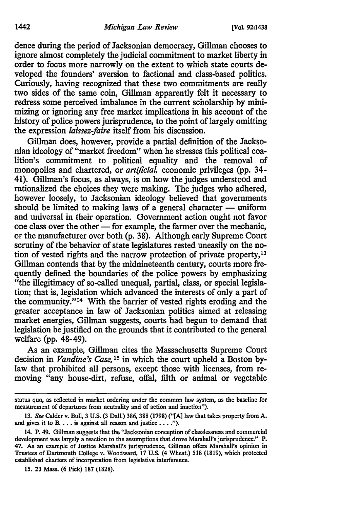dence during the period of Jacksonian democracy, Gillman chooses to ignore almost completely the judicial commitment to market liberty in order to focus more narrowly on the extent to which state courts developed the founders' aversion to factional and class-based politics. Curiously, having recognized that these two commitments are really two sides of the same coin, Gillman apparently felt it necessary to redress some perceived imbalance in the current scholarship by minimizing or ignoring any free market implications in his account of the history of police powers jurisprudence, to the point of largely omitting the expression *laissez-faire* itself from his discussion.

Gillman does, however, provide a partial definition of the Jacksonian ideology of "market freedom" when he stresses this political coalition's commitment to political equality and the removal of monopolies and chartered, or *artificial,* economic privileges (pp. 34- 41). Gillman's focus, as always, is on how the judges understood and rationalized the choices they were making. The judges who adhered, however loosely, to Jacksonian ideology believed that governments should be limited to making laws of a general character  $-$  uniform and universal in their operation. Government action ought not favor one class over the other  $\sim$  for example, the farmer over the mechanic, or the manufacturer over both (p. 38). Although early Supreme Court scrutiny of the behavior of state legislatures rested uneasily on the notion of vested rights and the narrow protection of private property, <sup>13</sup> Gillman contends that by the midnineteenth century, courts more frequently defined the boundaries of the police powers by emphasizing "the illegitimacy of so-called unequal, partial, class, or special legislation; that is, legislation which advanced the interests of only a part of the community."14 With the barrier of vested rights eroding and the greater acceptance in law of Jacksonian politics aimed at releasing market energies, Gillman suggests, courts had begun to demand that legislation be justified on the grounds that it contributed to the general welfare (pp. 48-49).

As an example, Gillman cites the Massachusetts Supreme Court decision in *Vandine's Case,* 15 in which the court upheld a Boston bylaw that prohibited all persons, except those with licenses, from removing "any house-dirt, refuse, offal, filth or animal or vegetable

15. 23 Mass. (6 Pick) 187 (1828).

status quo, as reflected in market ordering under the common law system, as the baseline for measurement of departures from neutrality and of action and inaction").

<sup>13.</sup> *See* Calderv. Bull, 3 U.S. (3 Dall.) 386, 388 (1798) ("[A] law that takes property from A. and gives it to B.  $\dots$  is against all reason and justice  $\dots$ .").

<sup>14.</sup> P. 49. Gillman suggests that the "Jacksonian conception of classlessness and commercial development was largely a reaction to the assumptions that drove Marshall's jurisprudence." P. 47. As an example of Justice Marshall's jurisprudence, Gillman offers Marshall's opinion in Trustees of Dartmouth College v. Woodward, 17 U.S. (4 Wheat.) 518 (1819), which protected established charters of incorporation from legislative interference.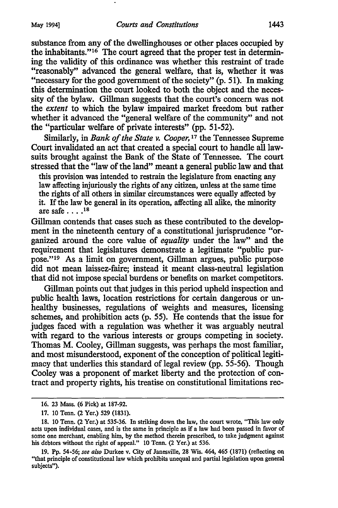substance from any of the dwellinghouses or other places occupied by the inhabitants."16 The court agreed that the proper test in determining the validity of this ordinance was whether this restraint of trade "reasonably" advanced the general welfare, that is, whether it was "necessary for the good government of the society" (p. 51). In making this determination the court looked to both the object and the necessity of the bylaw. Gillman suggests that the court's concern was not the *extent* to which the bylaw impaired market freedom but rather whether it advanced the "general welfare of the community" and not the "particular welfare of private interests" (pp. 51-52).

Similarly, in *Bank of the State v. Cooper,* 17 the Tennessee Supreme Court invalidated an act that created a special court to handle all lawsuits brought against the Bank of the State of Tennessee. The court stressed that the "law of the land" meant a general public law and that

this provision was intended to restrain the legislature from enacting any law affecting injuriously the rights of any citizen, unless at the same time the rights of all others in similar circumstances were equally affected by it. If the law be general in its operation, affecting all alike, the minority are safe .... 18

Gillman contends that cases such as these contributed to the development in the nineteenth century of a constitutional jurisprudence "organized around the core value of *equality* under the law" and the requirement that legislatures demonstrate a legitimate "public purpose." 19 As a limit on government, Gillman argues, public purpose did not mean laissez-faire; instead it meant class-neutral legislation that did not impose special burdens or benefits on market competitors.

Gillman points out that judges in this period upheld inspection and public health laws, location restrictions for certain dangerous or unhealthy businesses, regulations of weights and measures, licensing schemes, and prohibition acts (p. 55). He contends that the issue for judges faced with a regulation was whether it was arguably neutral with regard to the various interests or groups competing in society. Thomas M. Cooley, Gillman suggests, was perhaps the most familiar, and most misunderstood, exponent of the conception of political legitimacy that underlies this standard of legal review (pp. 55-56). Though Cooley was a proponent of market liberty and the protection of contract and property rights, his treatise on constitutional limitations rec-

<sup>16. 23</sup> Mass. (6 Pick) at 187-92.

<sup>17. 10</sup> Tenn. (2 Yer.) 529 (1831).

<sup>18. 10</sup> Tenn. (2 Yer.) at 535-36. In striking down the law, the court wrote, "This law only acts upon individual cases, and is the same in principle as if a law had been passed in favor of some one merchant, enabling him, by the method therein prescribed, to take judgment against his debtors without the right of appeal." 10 Tenn. (2 Yer.) at 536.

<sup>19.</sup> Pp. 54-56; *see also* Durkee v. City of Janesville, 28 Wis. 464, 465 (1871) (reflecting on "that principle of constitutional law which prohibits unequal and partial legislation upon general subjects").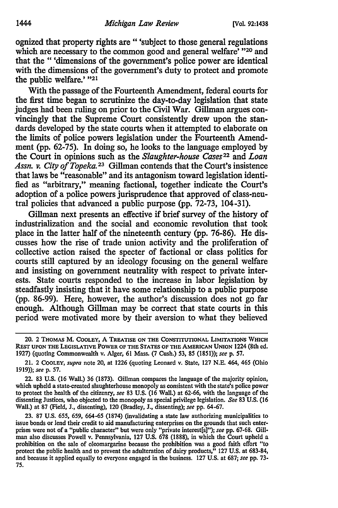ognized that property rights are " 'subject to those general regulations which are necessary to the common good and general welfare' "20 and that the " 'dimensions of the government's police power are identical with the dimensions of the government's duty to protect and promote the public welfare.' "21

With the passage of the Fourteenth Amendment, federal courts for the first time began to scrutinize the day-to-day legislation that state judges had been ruling on prior to the Civil War. Gillman argues convincingly that the Supreme Court consistently drew upon the standards developed by the state courts when it attempted to elaborate on the limits of police powers legislation under the Fourteenth Amendment (pp. 62-75). In doing so, he looks to the language employed by the Court in opinions such as the *Slaughter-house Cases*<sup>22</sup> and *Loan* Assn. v. City of Topeka.<sup>23</sup> Gillman contends that the Court's insistence that laws be "reasonable" and its antagonism toward legislation identified as "arbitrary," meaning factional, together indicate the Court's adoption of a police powers jurisprudence that approved of class-neutral policies that advanced a public purpose (pp. 72-73, 104-31).

Gillman next presents an effective if brief survey of the history of industrialization and the social and economic revolution that took place in the latter half of the nineteenth century (pp. 76-86). He discusses how the rise of trade union activity and the proliferation of collective action raised the specter of factional or class politics for courts still captured by an ideology focusing on the general welfare and insisting on government neutrality with respect to private interests. State courts responded to the increase in labor legislation by steadfastly insisting that it have some relationship to a public purpose (pp. 86-99). Here, however, the author's discussion does not go far enough. Although Gillman may be correct that state courts in this period were motivated more by their aversion to what they believed

<sup>20. 2</sup> THOMAS M. COOLEY, A TREATISE ON THE CONSTITUTIONAL LIMITATIONS WHICH REsT UPON THE LEGISLATIVE POWER OF THE STATES OF THE AMERICAN UNION 1224 (8th ed. 1927) (quoting Commonwealth v. Alger, 61 Mass. (7 Cush.) 53, 85 (1851)); *seep.* 57.

<sup>21. 2</sup> CoOLEY, *supra* note 20, at 1226 (quoting Leonard v. State, 127 N.E. 464, 465 (Ohio 1919)); *seep.* 57.

<sup>22. 83</sup> U.S. (16 Wall.) 36 (1873). Gillman compares the language of the majority opinion, which upheld a state-created slaughterhouse monopoly as consistent with the state's police power to protect the health of the citizenry, *see* 83 U.S. (16 Wall.) at 62-66, with the language of the dissenting Justices, who objected to the monopoly as special privilege legislation. *See* 83 U.S. (16 Wall.) at 87 (Field, J., dissenting), 120 (Bradley, J., dissenting); *see* pp. 64-67.

<sup>23. 87</sup> U.S. 655, 659, 664-65 (1874) (invalidating a state law authorizing municipalities to issue bonds or lend their credit to aid manufacturing enterprises on the grounds that such enterprises were not of a "public character" but were only "private interest[s]"); *see* pp. 67-68. Gillman also discusses Powell v. Pennsylvania, 127 U.S. 678 (1888), in which the Court upheld a prohibition on the sale of oleomargarine because the prohibition was a good faith effort "to protect the public health and to prevent the adulteration of dairy products," 127 U.S. at 683-84, and because it applied equally to everyone engaged in the business. 127 U.S. at 687; *see* pp. 73- 75.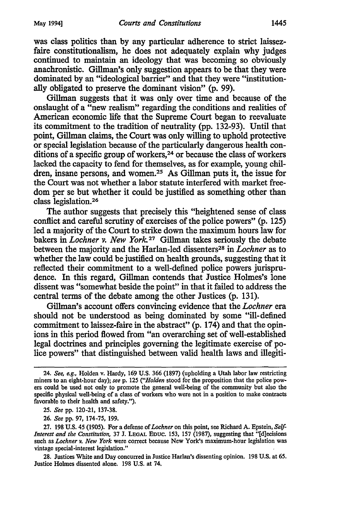was class politics than by any particular adherence to strict laissezfaire constitutionalism, he does not adequately explain why judges continued to maintain an ideology that was becoming so obviously anachronistic. Gillman's only suggestion appears to be that they were dominated by an "ideological barrier" and that they were "institutionally obligated to preserve the dominant vision" (p. 99).

Gillman suggests that it was only over time and because of the onslaught of a "new realism" regarding the conditions and realities of American economic life that the Supreme Court began to reevaluate its commitment to the tradition of neutrality (pp. 132-93). Until that point, Gillman claims, the Court was only willing to uphold protective or special legislation because of the particularly dangerous health conditions of a specific group of workers, 24 or because the class of workers lacked the capacity to fend for themselves, as for example, young children, insane persons, and women.<sup>25</sup> As Gillman puts it, the issue for the Court was not whether a labor statute interfered with market freedom per se but whether it could be justified as something other than class legislation. 26

The author suggests that precisely this "heightened sense of class conflict and careful scrutiny of exercises of the police powers" (p. 125) led a majority of the Court to strike down the maximum hours law for bakers in *Lochner v. New York* 27 Gillman takes seriously the debate between the majority and the Harlan-led dissenters28 in *Lochner* as to whether the law could be justified on health grounds, suggesting that it reflected their commitment to a well-defined police powers jurisprudence. In this regard, Gillman contends that Justice Holmes's lone dissent was "somewhat beside the point" in that it failed to address the central terms of the debate among the other Justices (p. 131).

Gillman's account offers convincing evidence that the *Lochner* era should not be understood as being dominated by some "ill-defined commitment to laissez-faire in the abstract" (p. 174) and that the opinions in this period flowed from "an overarching set of well-established legal doctrines and principles governing the legitimate exercise of police powers" that distinguished between valid health laws and illegiti-

<sup>24.</sup> *See, e.g.,* Holden v. Hardy, 169 U.S. 366 (1897) (upholding a Utah labor law restricting miners to an eight-hour day); *see* p. 125 *("Holden* stood for the proposition that the police powers could be used not only to promote the general well-being of the community but also the specific physical well-being of a class of workers who were not in a position to make contracts favorable to their health and safety.").

<sup>25.</sup> *See* pp. 120-21, 137-38.

<sup>26.</sup> *See* pp. 97, 174-75, 199.

<sup>27. 198</sup> U.S. 45 (1905). For a defense of *Lochner* on this point, see Richard A. Epstein, *Self-Interest and the Constitution,* 37 J. LEGAL Eouc. 153, 157 (1987), suggesting that "[d]ecisions such as *Lochner v. New York* were correct because New York's maximum-hour legislation was vintage special-interest legislation."

<sup>28.</sup> Justices White and Day concurred in Justice Harlan's dissenting opinion. 198 U.S. at 65. Justice Holmes dissented alone. 198 U.S. at 74.